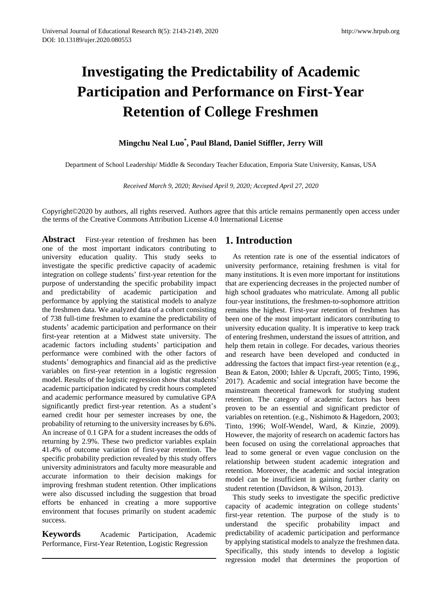# **Investigating the Predictability of Academic Participation and Performance on First-Year Retention of College Freshmen**

## **Mingchu Neal Luo\* , Paul Bland, Daniel Stiffler, Jerry Will**

Department of School Leadership/ Middle & Secondary Teacher Education, Emporia State University, Kansas, USA

*Received March 9, 2020; Revised April 9, 2020; Accepted April 27, 2020*

Copyright©2020 by authors, all rights reserved. Authors agree that this article remains permanently open access under the terms of the Creative Commons Attribution License 4.0 International License

**Abstract** First-year retention of freshmen has been one of the most important indicators contributing to university education quality. This study seeks to investigate the specific predictive capacity of academic integration on college students' first-year retention for the purpose of understanding the specific probability impact and predictability of academic participation and performance by applying the statistical models to analyze the freshmen data. We analyzed data of a cohort consisting of 738 full-time freshmen to examine the predictability of students' academic participation and performance on their first-year retention at a Midwest state university. The academic factors including students' participation and performance were combined with the other factors of students' demographics and financial aid as the predictive variables on first-year retention in a logistic regression model. Results of the logistic regression show that students' academic participation indicated by credit hours completed and academic performance measured by cumulative GPA significantly predict first-year retention. As a student's earned credit hour per semester increases by one, the probability of returning to the university increases by 6.6%. An increase of 0.1 GPA for a student increases the odds of returning by 2.9%. These two predictor variables explain 41.4% of outcome variation of first-year retention. The specific probability prediction revealed by this study offers university administrators and faculty more measurable and accurate information to their decision makings for improving freshman student retention. Other implications were also discussed including the suggestion that broad efforts be enhanced in creating a more supportive environment that focuses primarily on student academic success.

**Keywords** Academic Participation, Academic Performance, First-Year Retention, Logistic Regression

# **1. Introduction**

As retention rate is one of the essential indicators of university performance, retaining freshmen is vital for many institutions. It is even more important for institutions that are experiencing decreases in the projected number of high school graduates who matriculate. Among all public four-year institutions, the freshmen-to-sophomore attrition remains the highest. First-year retention of freshmen has been one of the most important indicators contributing to university education quality. It is imperative to keep track of entering freshmen, understand the issues of attrition, and help them retain in college. For decades, various theories and research have been developed and conducted in addressing the factors that impact first-year retention (e.g., Bean & Eaton, 2000; Ishler & Upcraft, 2005; Tinto, 1996, 2017). Academic and social integration have become the mainstream theoretical framework for studying student retention. The category of academic factors has been proven to be an essential and significant predictor of variables on retention. (e.g., Nishimoto & Hagedorn, 2003; Tinto, 1996; Wolf-Wendel, Ward, & Kinzie, 2009). However, the majority of research on academic factors has been focused on using the correlational approaches that lead to some general or even vague conclusion on the relationship between student academic integration and retention. Moreover, the academic and social integration model can be insufficient in gaining further clarity on student retention [\(Davidson,](https://journals.sagepub.com/toc/csra/15/3) & [Wilson,](https://journals.sagepub.com/toc/csra/15/3) 2013).

This study seeks to investigate the specific predictive capacity of academic integration on college students' first-year retention. The purpose of the study is to understand the specific probability impact and predictability of academic participation and performance by applying statistical models to analyze the freshmen data. Specifically, this study intends to develop a logistic regression model that determines the proportion of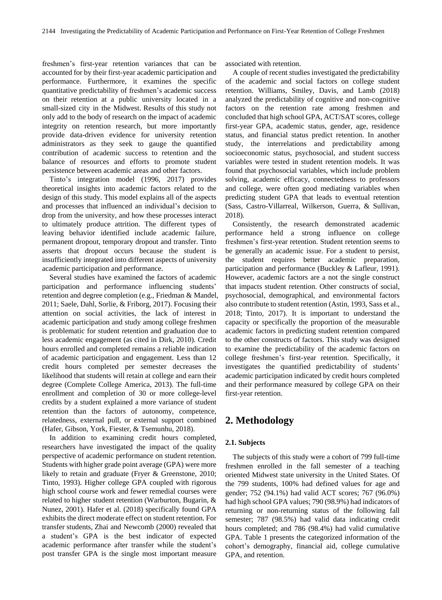freshmen's first-year retention variances that can be accounted for by their first-year academic participation and performance. Furthermore, it examines the specific quantitative predictability of freshmen's academic success on their retention at a public university located in a small-sized city in the Midwest. Results of this study not only add to the body of research on the impact of academic integrity on retention research, but more importantly provide data-driven evidence for university retention administrators as they seek to gauge the quantified contribution of academic success to retention and the balance of resources and efforts to promote student persistence between academic areas and other factors.

Tinto's integration model (1996, 2017) provides theoretical insights into academic factors related to the design of this study. This model explains all of the aspects and processes that influenced an individual's decision to drop from the university, and how these processes interact to ultimately produce attrition. The different types of leaving behavior identified include academic failure, permanent dropout, temporary dropout and transfer. Tinto asserts that dropout occurs because the student is insufficiently integrated into different aspects of university academic participation and performance.

Several studies have examined the factors of academic participation and performance influencing students' retention and degree completion (e.g., Friedman & Mandel, 2011; Saele, Dahl, Sorlie, & Friborg, 2017). Focusing their attention on social activities, the lack of interest in academic participation and study among college freshmen is problematic for student retention and graduation due to less academic engagement (as cited in Dirk, 2010). Credit hours enrolled and completed remains a reliable indication of academic participation and engagement. Less than 12 credit hours completed per semester decreases the likelihood that students will retain at college and earn their degree (Complete College America, 2013). The full-time enrollment and completion of 30 or more college-level credits by a student explained a more variance of student retention than the factors of autonomy, competence, relatedness, external pull, or external support combined (Hafer, Gibson, York, Fiester, & Tsemunhu, 2018).

In addition to examining credit hours completed, researchers have investigated the impact of the quality perspective of academic performance on student retention. Students with higher grade point average (GPA) were more likely to retain and graduate (Fryer & Greenstone, 2010; Tinto, 1993). Higher college GPA coupled with rigorous high school course work and fewer remedial courses were related to higher student retention (Warburton, Bugarin, & Nunez, 2001). Hafer et al. (2018) specifically found GPA exhibits the direct moderate effect on student retention. For transfer students, Zhai and Newcomb (2000) revealed that a student's GPA is the best indicator of expected academic performance after transfer while the student's post transfer GPA is the single most important measure

associated with retention.

A couple of recent studies investigated the predictability of the academic and social factors on college student retention. Williams, Smiley, Davis, and Lamb (2018) analyzed the predictability of cognitive and non-cognitive factors on the retention rate among freshmen and concluded that high school GPA, ACT/SAT scores, college first-year GPA, academic status, gender, age, residence status, and financial status predict retention. In another study, the interrelations and predictability among socioeconomic status, psychosocial, and student success variables were tested in student retention models. It was found that psychosocial variables, which include problem solving, academic efficacy, connectedness to professors and college, were often good mediating variables when predicting student GPA that leads to eventual retention (Sass, Castro-Villarreal, Wilkerson, Guerra, & Sullivan, 2018).

Consistently, the research demonstrated academic performance held a strong influence on college freshmen's first-year retention. Student retention seems to be generally an academic issue. For a student to persist, the student requires better academic preparation, participation and performance (Buckley & Lafleur, 1991). However, academic factors are a not the single construct that impacts student retention. Other constructs of social, psychosocial, demographical, and environmental factors also contribute to student retention (Astin, 1993, Sass et al., 2018; Tinto, 2017). It is important to understand the capacity or specifically the proportion of the measurable academic factors in predicting student retention compared to the other constructs of factors. This study was designed to examine the predictability of the academic factors on college freshmen's first-year retention. Specifically, it investigates the quantified predictability of students' academic participation indicated by credit hours completed and their performance measured by college GPA on their first-year retention.

# **2. Methodology**

## **2.1. Subjects**

The subjects of this study were a cohort of 799 full-time freshmen enrolled in the fall semester of a teaching oriented Midwest state university in the United States. Of the 799 students, 100% had defined values for age and gender; 752 (94.1%) had valid ACT scores; 767 (96.0%) had high school GPA values; 790 (98.9%) had indicators of returning or non-returning status of the following fall semester; 787 (98.5%) had valid data indicating credit hours completed; and 786 (98.4%) had valid cumulative GPA. Table 1 presents the categorized information of the cohort's demography, financial aid, college cumulative GPA, and retention.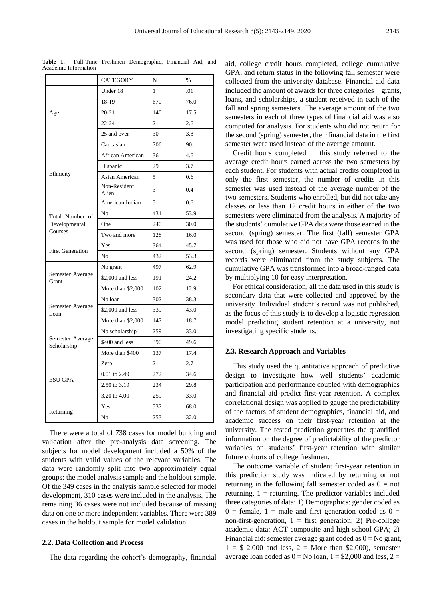|                                  | <b>CATEGORY</b>       | N   | $\frac{0}{0}$ |
|----------------------------------|-----------------------|-----|---------------|
| Age                              | Under 18              | 1   | .01           |
|                                  | 18-19                 | 670 | 76.0          |
|                                  | $20 - 21$             | 140 | 17.5          |
|                                  | $22 - 24$             | 21  | 2.6           |
|                                  | 25 and over           | 30  | 3.8           |
| Ethnicity                        | Caucasian             | 706 | 90.1          |
|                                  | African American      | 36  | 4.6           |
|                                  | Hispanic              | 29  | 3.7           |
|                                  | Asian American        | 5   | 0.6           |
|                                  | Non-Resident<br>Alien | 3   | 0.4           |
|                                  | American Indian       | 5   | 0.6           |
| Total Number of<br>Developmental | N <sub>0</sub>        | 431 | 53.9          |
|                                  | One                   | 240 | 30.0          |
| Courses                          | Two and more          | 128 | 16.0          |
| <b>First Generation</b>          | Yes                   | 364 | 45.7          |
|                                  | N <sub>o</sub>        | 432 | 53.3          |
|                                  | No grant              | 497 | 62.9          |
| Semester Average<br>Grant        | \$2,000 and less      | 191 | 24.2          |
|                                  | More than \$2,000     | 102 | 12.9          |
|                                  | No loan               | 302 | 38.3          |
| Semester Average<br>Loan         | \$2,000 and less      | 339 | 43.0          |
|                                  | More than \$2,000     | 147 | 18.7          |
| Semester Average<br>Scholarship  | No scholarship        | 259 | 33.0          |
|                                  | \$400 and less        | 390 | 49.6          |
|                                  | More than \$400       | 137 | 17.4          |
| <b>ESU GPA</b>                   | Zero                  | 21  | 2.7           |
|                                  | 0.01 to 2.49          | 272 | 34.6          |
|                                  | 2.50 to 3.19          | 234 | 29.8          |
|                                  | 3.20 to 4.00          | 259 | 33.0          |
| Returning                        | Yes                   | 537 | 68.0          |
|                                  | N <sub>0</sub>        | 253 | 32.0          |

**Table 1.** Full-Time Freshmen Demographic, Financial Aid, and Academic Information

There were a total of 738 cases for model building and validation after the pre-analysis data screening. The subjects for model development included a 50% of the students with valid values of the relevant variables. The data were randomly split into two approximately equal groups: the model analysis sample and the holdout sample. Of the 349 cases in the analysis sample selected for model development, 310 cases were included in the analysis. The remaining 36 cases were not included because of missing data on one or more independent variables. There were 389 cases in the holdout sample for model validation.

## **2.2. Data Collection and Process**

The data regarding the cohort's demography, financial

aid, college credit hours completed, college cumulative GPA, and return status in the following fall semester were collected from the university database. Financial aid data included the amount of awards for three categories—grants, loans, and scholarships, a student received in each of the fall and spring semesters. The average amount of the two semesters in each of three types of financial aid was also computed for analysis. For students who did not return for the second (spring) semester, their financial data in the first semester were used instead of the average amount.

Credit hours completed in this study referred to the average credit hours earned across the two semesters by each student. For students with actual credits completed in only the first semester, the number of credits in this semester was used instead of the average number of the two semesters. Students who enrolled, but did not take any classes or less than 12 credit hours in either of the two semesters were eliminated from the analysis. A majority of the students' cumulative GPA data were those earned in the second (spring) semester. The first (fall) semester GPA was used for those who did not have GPA records in the second (spring) semester. Students without any GPA records were eliminated from the study subjects. The cumulative GPA was transformed into a broad-ranged data by multiplying 10 for easy interpretation.

For ethical consideration, all the data used in this study is secondary data that were collected and approved by the university. Individual student's record was not published, as the focus of this study is to develop a logistic regression model predicting student retention at a university, not investigating specific students.

#### **2.3. Research Approach and Variables**

This study used the quantitative approach of predictive design to investigate how well students' academic participation and performance coupled with demographics and financial aid predict first-year retention. A complex correlational design was applied to gauge the predictability of the factors of student demographics, financial aid, and academic success on their first-year retention at the university. The tested prediction generates the quantified information on the degree of predictability of the predictor variables on students' first-year retention with similar future cohorts of college freshmen.

The outcome variable of student first-year retention in this prediction study was indicated by returning or not returning in the following fall semester coded as  $0 = not$ returning,  $1 =$  returning. The predictor variables included three categories of data: 1) Demographics: gender coded as  $0 =$  female,  $1 =$  male and first generation coded as  $0 =$ non-first-generation,  $1 =$  first generation; 2) Pre-college academic data: ACT composite and high school GPA; 2) Financial aid: semester average grant coded as  $0 = No$  grant,  $1 = $ 2,000$  and less,  $2 =$  More than \$2,000), semester average loan coded as  $0 = No$  loan,  $1 = $2,000$  and less,  $2 =$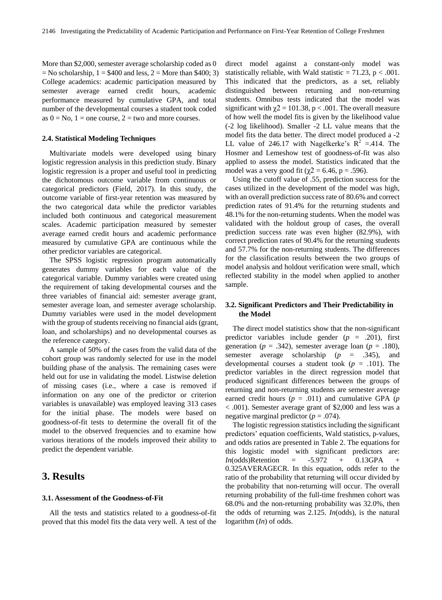More than \$2,000, semester average scholarship coded as 0  $=$  No scholarship,  $1 = $400$  and less,  $2 =$  More than \$400; 3) College academics: academic participation measured by semester average earned credit hours, academic performance measured by cumulative GPA, and total number of the developmental courses a student took coded as  $0 = No$ ,  $1 = one course$ ,  $2 = two$  and more courses.

#### **2.4. Statistical Modeling Techniques**

Multivariate models were developed using binary logistic regression analysis in this prediction study. Binary logistic regression is a proper and useful tool in predicting the dichotomous outcome variable from continuous or categorical predictors (Field, 2017). In this study, the outcome variable of first-year retention was measured by the two categorical data while the predictor variables included both continuous and categorical measurement scales. Academic participation measured by semester average earned credit hours and academic performance measured by cumulative GPA are continuous while the other predictor variables are categorical.

The SPSS logistic regression program automatically generates dummy variables for each value of the categorical variable. Dummy variables were created using the requirement of taking developmental courses and the three variables of financial aid: semester average grant, semester average loan, and semester average scholarship. Dummy variables were used in the model development with the group of students receiving no financial aids (grant, loan, and scholarships) and no developmental courses as the reference category.

A sample of 50% of the cases from the valid data of the cohort group was randomly selected for use in the model building phase of the analysis. The remaining cases were held out for use in validating the model. Listwise deletion of missing cases (i.e., where a case is removed if information on any one of the predictor or criterion variables is unavailable) was employed leaving 313 cases for the initial phase. The models were based on goodness-of-fit tests to determine the overall fit of the model to the observed frequencies and to examine how various iterations of the models improved their ability to predict the dependent variable.

## **3. Results**

### **3.1. Assessment of the Goodness-of-Fit**

All the tests and statistics related to a goodness-of-fit proved that this model fits the data very well. A test of the

direct model against a constant-only model was statistically reliable, with Wald statistic  $= 71.23$ ,  $p < .001$ . This indicated that the predictors, as a set, reliably distinguished between returning and non-returning students. Omnibus tests indicated that the model was significant with  $\chi$ 2 = 101.38, p < .001. The overall measure of how well the model fits is given by the likelihood value (-2 log likelihood). Smaller -2 LL value means that the model fits the data better. The direct model produced a -2 LL value of 246.17 with Nagelkerke's  $R^2 = 0.414$ . The Hosmer and Lemeshow test of goodness-of-fit was also applied to assess the model. Statistics indicated that the model was a very good fit ( $\chi$ 2 = 6.46, p = .596).

Using the cutoff value of .55, prediction success for the cases utilized in the development of the model was high, with an overall prediction success rate of 80.6% and correct prediction rates of 91.4% for the returning students and 48.1% for the non-returning students. When the model was validated with the holdout group of cases, the overall prediction success rate was even higher (82.9%), with correct prediction rates of 90.4% for the returning students and 57.7% for the non-returning students. The differences for the classification results between the two groups of model analysis and holdout verification were small, which reflected stability in the model when applied to another sample.

## **3.2. Significant Predictors and Their Predictability in the Model**

The direct model statistics show that the non-significant predictor variables include gender  $(p = .201)$ , first generation ( $p = .342$ ), semester average loan ( $p = .180$ ), semester average scholarship (*p* = .345), and developmental courses a student took  $(p = .101)$ . The predictor variables in the direct regression model that produced significant differences between the groups of returning and non-returning students are semester average earned credit hours  $(p = .011)$  and cumulative GPA  $(p)$ < .001). Semester average grant of \$2,000 and less was a negative marginal predictor  $(p = .074)$ .

The logistic regression statistics including the significant predictors' equation coefficients, Wald statistics, p-values, and odds ratios are presented in Table 2. The equations for this logistic model with significant predictors are:  $In (odds)$ Retention =  $-5.972 + 0.13GPA +$ 0.325AVERAGECR. In this equation, odds refer to the ratio of the probability that returning will occur divided by the probability that non-returning will occur. The overall returning probability of the full-time freshmen cohort was 68.0% and the non-returning probability was 32.0%, then the odds of returning was 2.125. *In*(odds), is the natural logarithm (*In*) of odds.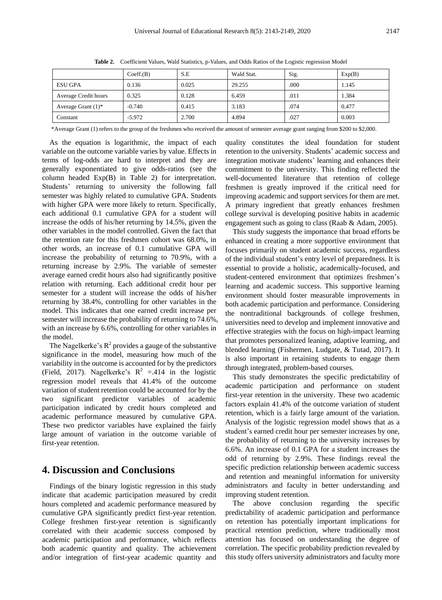|                       | Coeff.(B) | S.E   | Wald Stat. | Sig. | Exp(B) |
|-----------------------|-----------|-------|------------|------|--------|
| <b>ESU GPA</b>        | 0.136     | 0.025 | 29.255     | .000 | 1.145  |
| Average Credit hours  | 0.325     | 0.128 | 6.459      | .011 | 1.384  |
| Average Grant $(1)^*$ | $-0.740$  | 0.415 | 3.183      | .074 | 0.477  |
| Constant              | $-5.972$  | 2.700 | 4.894      | .027 | 0.003  |

**Table 2.** Coefficient Values, Wald Statistics, p-Values, and Odds Ratios of the Logistic regression Model

\*Average Grant (1) refers to the group of the freshmen who received the amount of semester average grant ranging from \$200 to \$2,000.

As the equation is logarithmic, the impact of each variable on the outcome variable varies by value. Effects in terms of log-odds are hard to interpret and they are generally exponentiated to give odds-ratios (see the column headed Exp(B) in Table 2) for interpretation. Students' returning to university the following fall semester was highly related to cumulative GPA. Students with higher GPA were more likely to return. Specifically, each additional 0.1 cumulative GPA for a student will increase the odds of his/her returning by 14.5%, given the other variables in the model controlled. Given the fact that the retention rate for this freshmen cohort was 68.0%, in other words, an increase of 0.1 cumulative GPA will increase the probability of returning to 70.9%, with a returning increase by 2.9%. The variable of semester average earned credit hours also had significantly positive relation with returning. Each additional credit hour per semester for a student will increase the odds of his/her returning by 38.4%, controlling for other variables in the model. This indicates that one earned credit increase per semester will increase the probability of returning to 74.6%, with an increase by 6.6%, controlling for other variables in the model.

The Nagelkerke's  $R^2$  provides a gauge of the substantive significance in the model, measuring how much of the variability in the outcome is accounted for by the predictors (Field, 2017). Nagelkerke's  $R^2 = 0.414$  in the logistic regression model reveals that 41.4% of the outcome variation of student retention could be accounted for by the two significant predictor variables of academic participation indicated by credit hours completed and academic performance measured by cumulative GPA. These two predictor variables have explained the fairly large amount of variation in the outcome variable of first-year retention.

# **4. Discussion and Conclusions**

Findings of the binary logistic regression in this study indicate that academic participation measured by credit hours completed and academic performance measured by cumulative GPA significantly predict first-year retention. College freshmen first-year retention is significantly correlated with their academic success composed by academic participation and performance, which reflects both academic quantity and quality. The achievement and/or integration of first-year academic quantity and

quality constitutes the ideal foundation for student retention to the university. Students' academic success and integration motivate students' learning and enhances their commitment to the university. This finding reflected the well-documented literature that retention of college freshmen is greatly improved if the critical need for improving academic and support services for them are met. A primary ingredient that greatly enhances freshmen college survival is developing positive habits in academic engagement such as going to class (Raab & Adam, 2005).

This study suggests the importance that broad efforts be enhanced in creating a more supportive environment that focuses primarily on student academic success, regardless of the individual student's entry level of preparedness. It is essential to provide a holistic, academically-focused, and student-centered environment that optimizes freshmen's learning and academic success. This supportive learning environment should foster measurable improvements in both academic participation and performance. Considering the nontraditional backgrounds of college freshmen, universities need to develop and implement innovative and effective strategies with the focus on high-impact learning that promotes personalized leaning, adaptive learning, and blended learning (Fishermen, Ludgate, & Tutad, 2017). It is also important in retaining students to engage them through integrated, problem-based courses.

This study demonstrates the specific predictability of academic participation and performance on student first-year retention in the university. These two academic factors explain 41.4% of the outcome variation of student retention, which is a fairly large amount of the variation. Analysis of the logistic regression model shows that as a student's earned credit hour per semester increases by one, the probability of returning to the university increases by 6.6%. An increase of 0.1 GPA for a student increases the odd of returning by 2.9%. These findings reveal the specific prediction relationship between academic success and retention and meaningful information for university administrators and faculty in better understanding and improving student retention.

The above conclusion regarding the specific predictability of academic participation and performance on retention has potentially important implications for practical retention prediction, where traditionally most attention has focused on understanding the degree of correlation. The specific probability prediction revealed by this study offers university administrators and faculty more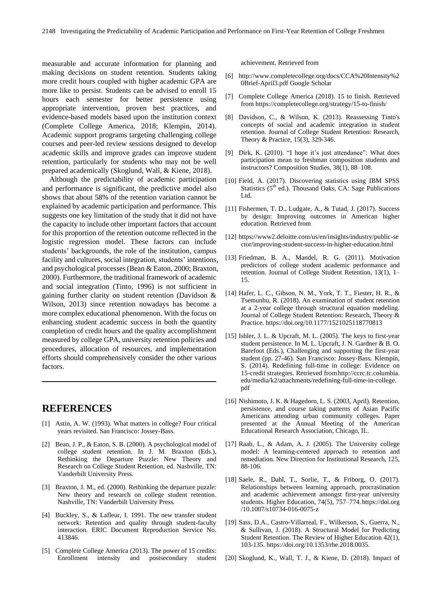measurable and accurate information for planning and making decisions on student retention. Students taking more credit hours coupled with higher academic GPA are more like to persist. Students can be advised to enroll 15 hours each semester for better persistence using appropriate intervention, proven best practices, and evidence-based models based upon the institution context (Complete College America, 2018; Klempin, 2014). Academic support programs targeting challenging college courses and peer-led review sessions designed to develop academic skills and improve grades can improve student retention, particularly for students who may not be well prepared academically (Skoglund, Wall, & Kiene, 2018).

Although the predictability of academic participation and performance is significant, the predictive model also shows that about 58% of the retention variation cannot be explained by academic participation and performance. This suggests one key limitation of the study that it did not have the capacity to include other important factors that account for this proportion of the retention outcome reflected in the logistic regression model. These factors can include students' backgrounds, the role of the institution, campus facility and cultures, social integration, students' intentions, and psychological processes (Bean & Eaton, 2000; Braxton, 2000). Furthermore, the traditional framework of academic and social integration (Tinto, 1996) is not sufficient in gaining further clarity on student retention [\(Davidson](https://journals.sagepub.com/toc/csra/15/3) & [Wilson,](https://journals.sagepub.com/toc/csra/15/3) 2013) since retention nowadays has become a more complex educational phenomenon. With the focus on enhancing student academic success in both the quantity completion of credit hours and the quality accomplishment measured by college GPA, university retention policies and procedures, allocation of resources, and implementation efforts should comprehensively consider the other various factors.

## **REFERENCES**

- [1] Astin, A. W. (1993). What matters in college? Four critical years revisited. San Francisco: Jossey-Bass.
- [2] Bean, J. P., & Eaton, S. B. (2000). A psychological model of college student retention. In J. M. Braxton (Eds.), Rethinking the Departure Puzzle: New Theory and Research on College Student Retention, ed. Nashville, TN: Vanderbilt University Press.
- [3] Braxton, J. M., ed. (2000). Rethinking the departure puzzle: New theory and research on college student retention. Nashville, TN: Vanderbilt University Press.
- [4] Buckley, S., & Lafleur, I. 1991. The new transfer student network: Retention and quality through student-faculty interaction. ERIC Document Reproduction Service No. 413846.
- [5] Complete College America (2013). The power of 15 credits: Enrollment intensity and postsecondary student

achievement. Retrieved from

- [6] [http://www.completecollege.org/docs/CCA%20Intensity%2](http://www.completecollege.org/docs/CCA%20Intensity%20Brief-April3.pdf) [0Brief-April3.pdf](http://www.completecollege.org/docs/CCA%20Intensity%20Brief-April3.pdf) Google [Scholar](http://scholar.google.com/scholar?hl=en&q=Complete+College+America.+%282013b%29.+The+power+of+15+credits%3A+Enrollment+intensity+and+postsecondary+student+achievement.+Retrieved+from+http%3A%2F%2Fwww.completecollege.org%2Fdocs%2FCCA%2520Intensity%2520Brief-April3.pdf)
- [7] Complete College America (2018). 15 to finish. Retrieved from <https://completecollege.org/strategy/15-to-finish/>
- [8] [Davidson,](https://journals.sagepub.com/toc/csra/15/3) C., & [Wilson,](https://journals.sagepub.com/toc/csra/15/3) K. (2013). Reassessing Tinto's concepts of social and academic integration in student retention. Journal of College Student Retention: Research, Theory & Practice, 15(3), 329-346.
- [9] Dirk, K. (2010). "I hope it's just attendance": What does participation mean to freshman composition students and instructors? Composition Studies, 38(1), 88–108.
- [10] Field, A. (2017). Discovering statistics using IBM SPSS Statistics  $(5<sup>th</sup>$  ed.). Thousand Oaks, CA: Sage Publications Ltd.
- [11] Fishermen, T. D., Ludgate, A., & Tutad, J. (2017). Success by design: Improving outcomes in American higher education. Retrieved from
- [12] [https://www2.deloitte.com/us/en/insights/industry/public-se](https://www2.deloitte.com/us/en/insights/industry/public-sector/improving-student-success-in-higher-education.html) [ctor/improving-student-success-in-higher-education.html](https://www2.deloitte.com/us/en/insights/industry/public-sector/improving-student-success-in-higher-education.html)
- [13] Friedman, B. A., Mandel, R. G. (2011). Motivation predictors of college student academic performance and retention. Journal of College Student Retention, 13(1), 1– 15.
- [14] Hafer, L. C., Gibson, N. M., York, T. T., Fiester, H. R., & Tsemunhu, R. (2018). An examination of student retention at a 2-year college through structural equation modeling. Journal of College Student Retention: Research, Theory & Practice. <https://doi.org/10.1177/1521025118770813>
- [15] Ishler, J. L. & Upcraft, M. L. (2005). The keys to first-year student persistence. In M. L. Upcraft, J. N. Gardner & B. O. Barefoot (Eds.), Challenging and supporting the first-year student (pp. 27-46). San Francisco: Jossey-Bass. Klempin, S. (2014). Redefining full-time in college: Evidence on 15-credit strategies. Retrieved fro[mhttp://ccrc.tc.columbia.](http://ccrc.tc.columbia.edu/media/k2/attachments/redefining-full-time-in-college.pdf) [edu/media/k2/attachments/redefining-full-time-in-college.](http://ccrc.tc.columbia.edu/media/k2/attachments/redefining-full-time-in-college.pdf) [pdf](http://ccrc.tc.columbia.edu/media/k2/attachments/redefining-full-time-in-college.pdf)
- [16] Nishimoto, J. K. & Hagedorn, L. S. (2003, April). Retention, persistence, and course taking patterns of Asian Pacific Americans attending urban community colleges. Paper presented at the Annual Meeting of the American Educational Research Association, Chicago, IL.
- [17] Raab, L., & Adam, A. J. (2005). The University college model: A learning-centered approach to retention and remediation. New Direction for Institutional Research, 125, 88-106.
- [18] Saele, R., Dahl, T., Sorlie, T., & Friborg, O. (2017). Relationships between learning approach, procrastination and academic achievement amongst first-year university students. Higher Education, 74(5), 757–774.https://doi.org /10.1007/s10734-016-0075-z
- [19] Sass, D.A., Castro-Villarreal, F., Wilkerson, S., Guerra, N., & Sullivan, J. (2018). A Structural Model for Predicting Student Retention. The Review of Higher Education 42(1), 103-135. [https://doi.org/10.1353/rhe.2018.0035.](http://doi.org/10.1353/rhe.2018.0035)
- [20] Skoglund, K., Wall, T. J., & Kiene, D. (2018). Impact of